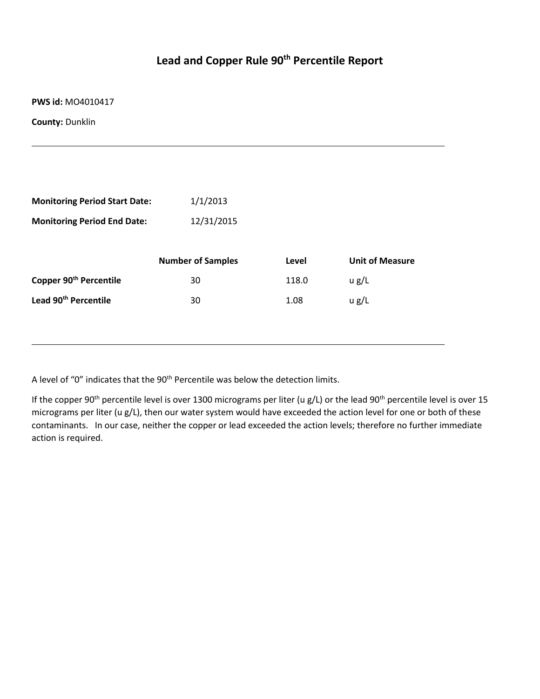## **Lead and Copper Rule 90th Percentile Report**

**PWS id:** MO4010417

**County:** Dunklin

| <b>Monitoring Period Start Date:</b> | 1/1/2013                 |       |                        |
|--------------------------------------|--------------------------|-------|------------------------|
| <b>Monitoring Period End Date:</b>   | 12/31/2015               |       |                        |
|                                      |                          |       |                        |
|                                      | <b>Number of Samples</b> | Level | <b>Unit of Measure</b> |
| Copper 90 <sup>th</sup> Percentile   | 30                       | 118.0 | u g/L                  |
| Lead 90 <sup>th</sup> Percentile     | 30                       | 1.08  | u g/L                  |
|                                      |                          |       |                        |
|                                      |                          |       |                        |

A level of "0" indicates that the 90<sup>th</sup> Percentile was below the detection limits.

If the copper 90<sup>th</sup> percentile level is over 1300 micrograms per liter (u g/L) or the lead 90<sup>th</sup> percentile level is over 15 micrograms per liter (u g/L), then our water system would have exceeded the action level for one or both of these contaminants. In our case, neither the copper or lead exceeded the action levels; therefore no further immediate action is required.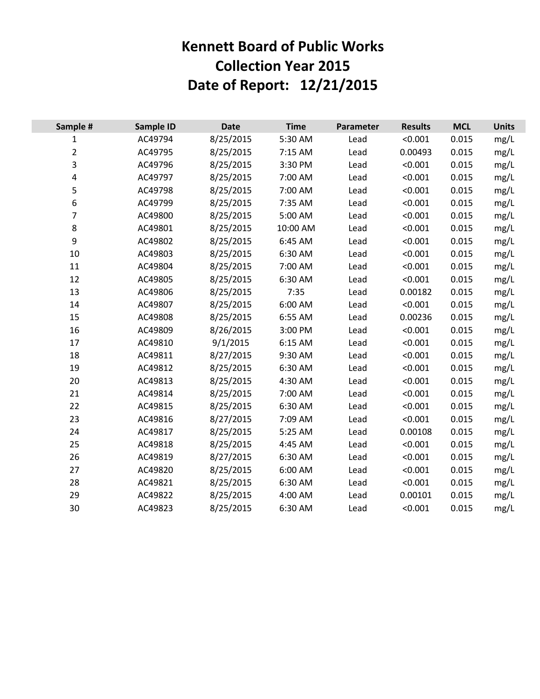## **Kennett Board of Public Works Collection Year 2015 Date of Report: 12/21/2015**

| Sample #                | <b>Sample ID</b> | <b>Date</b> | <b>Time</b> | Parameter | <b>Results</b> | <b>MCL</b> | <b>Units</b> |
|-------------------------|------------------|-------------|-------------|-----------|----------------|------------|--------------|
| $\mathbf{1}$            | AC49794          | 8/25/2015   | 5:30 AM     | Lead      | < 0.001        | 0.015      | mg/L         |
| $\overline{2}$          | AC49795          | 8/25/2015   | 7:15 AM     | Lead      | 0.00493        | 0.015      | mg/L         |
| 3                       | AC49796          | 8/25/2015   | 3:30 PM     | Lead      | < 0.001        | 0.015      | mg/L         |
| $\overline{\mathbf{4}}$ | AC49797          | 8/25/2015   | 7:00 AM     | Lead      | < 0.001        | 0.015      | mg/L         |
| 5                       | AC49798          | 8/25/2015   | 7:00 AM     | Lead      | < 0.001        | 0.015      | mg/L         |
| 6                       | AC49799          | 8/25/2015   | 7:35 AM     | Lead      | < 0.001        | 0.015      | mg/L         |
| 7                       | AC49800          | 8/25/2015   | 5:00 AM     | Lead      | < 0.001        | 0.015      | mg/L         |
| 8                       | AC49801          | 8/25/2015   | 10:00 AM    | Lead      | < 0.001        | 0.015      | mg/L         |
| 9                       | AC49802          | 8/25/2015   | 6:45 AM     | Lead      | < 0.001        | 0.015      | mg/L         |
| 10                      | AC49803          | 8/25/2015   | 6:30 AM     | Lead      | < 0.001        | 0.015      | mg/L         |
| 11                      | AC49804          | 8/25/2015   | 7:00 AM     | Lead      | < 0.001        | 0.015      | mg/L         |
| 12                      | AC49805          | 8/25/2015   | 6:30 AM     | Lead      | < 0.001        | 0.015      | mg/L         |
| 13                      | AC49806          | 8/25/2015   | 7:35        | Lead      | 0.00182        | 0.015      | mg/L         |
| 14                      | AC49807          | 8/25/2015   | 6:00 AM     | Lead      | < 0.001        | 0.015      | mg/L         |
| 15                      | AC49808          | 8/25/2015   | 6:55 AM     | Lead      | 0.00236        | 0.015      | mg/L         |
| 16                      | AC49809          | 8/26/2015   | 3:00 PM     | Lead      | < 0.001        | 0.015      | mg/L         |
| 17                      | AC49810          | 9/1/2015    | 6:15 AM     | Lead      | < 0.001        | 0.015      | mg/L         |
| 18                      | AC49811          | 8/27/2015   | 9:30 AM     | Lead      | < 0.001        | 0.015      | mg/L         |
| 19                      | AC49812          | 8/25/2015   | 6:30 AM     | Lead      | < 0.001        | 0.015      | mg/L         |
| 20                      | AC49813          | 8/25/2015   | 4:30 AM     | Lead      | < 0.001        | 0.015      | mg/L         |
| 21                      | AC49814          | 8/25/2015   | 7:00 AM     | Lead      | < 0.001        | 0.015      | mg/L         |
| 22                      | AC49815          | 8/25/2015   | 6:30 AM     | Lead      | < 0.001        | 0.015      | mg/L         |
| 23                      | AC49816          | 8/27/2015   | 7:09 AM     | Lead      | < 0.001        | 0.015      | mg/L         |
| 24                      | AC49817          | 8/25/2015   | 5:25 AM     | Lead      | 0.00108        | 0.015      | mg/L         |
| 25                      | AC49818          | 8/25/2015   | 4:45 AM     | Lead      | < 0.001        | 0.015      | mg/L         |
| 26                      | AC49819          | 8/27/2015   | 6:30 AM     | Lead      | < 0.001        | 0.015      | mg/L         |
| 27                      | AC49820          | 8/25/2015   | 6:00 AM     | Lead      | < 0.001        | 0.015      | mg/L         |
| 28                      | AC49821          | 8/25/2015   | 6:30 AM     | Lead      | < 0.001        | 0.015      | mg/L         |
| 29                      | AC49822          | 8/25/2015   | 4:00 AM     | Lead      | 0.00101        | 0.015      | mg/L         |
| 30                      | AC49823          | 8/25/2015   | 6:30 AM     | Lead      | < 0.001        | 0.015      | mg/L         |